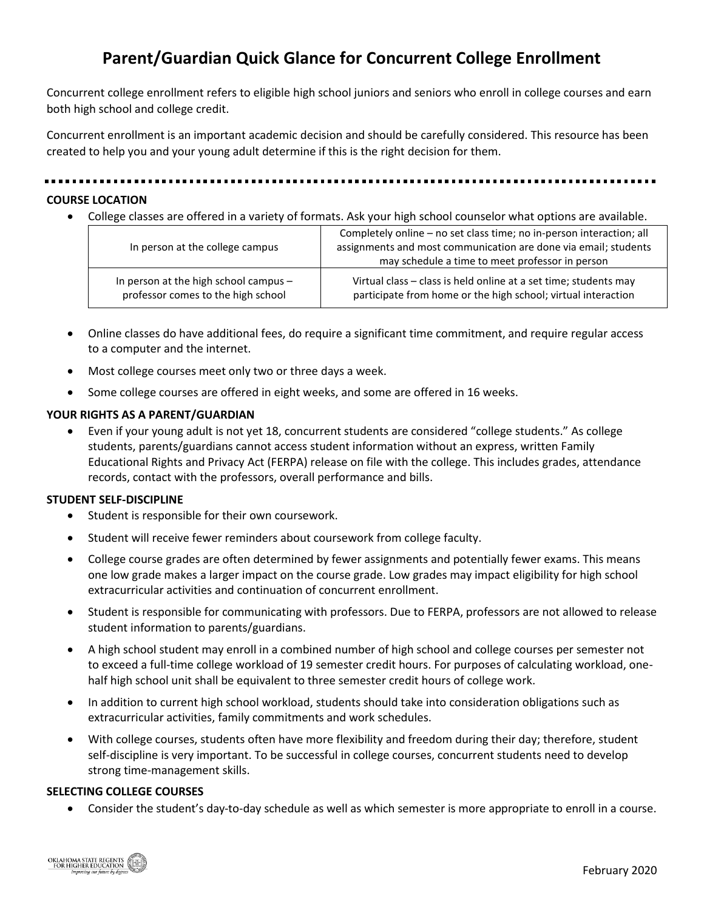# **Parent/Guardian Quick Glance for Concurrent College Enrollment**

Concurrent college enrollment refers to eligible high school juniors and seniors who enroll in college courses and earn both high school and college credit.

Concurrent enrollment is an important academic decision and should be carefully considered. This resource has been created to help you and your young adult determine if this is the right decision for them.

#### .........................

#### **COURSE LOCATION**

• College classes are offered in a variety of formats. Ask your high school counselor what options are available.

| In person at the college campus       | Completely online - no set class time; no in-person interaction; all<br>assignments and most communication are done via email; students<br>may schedule a time to meet professor in person |
|---------------------------------------|--------------------------------------------------------------------------------------------------------------------------------------------------------------------------------------------|
| In person at the high school campus - | Virtual class – class is held online at a set time; students may                                                                                                                           |
| professor comes to the high school    | participate from home or the high school; virtual interaction                                                                                                                              |

- Online classes do have additional fees, do require a significant time commitment, and require regular access to a computer and the internet.
- Most college courses meet only two or three days a week.
- Some college courses are offered in eight weeks, and some are offered in 16 weeks.

#### **YOUR RIGHTS AS A PARENT/GUARDIAN**

• Even if your young adult is not yet 18, concurrent students are considered "college students." As college students, parents/guardians cannot access student information without an express, written Family Educational Rights and Privacy Act (FERPA) release on file with the college. This includes grades, attendance records, contact with the professors, overall performance and bills.

#### **STUDENT SELF-DISCIPLINE**

- Student is responsible for their own coursework.
- Student will receive fewer reminders about coursework from college faculty.
- College course grades are often determined by fewer assignments and potentially fewer exams. This means one low grade makes a larger impact on the course grade. Low grades may impact eligibility for high school extracurricular activities and continuation of concurrent enrollment.
- Student is responsible for communicating with professors. Due to FERPA, professors are not allowed to release student information to parents/guardians.
- A high school student may enroll in a combined number of high school and college courses per semester not to exceed a full-time college workload of 19 semester credit hours. For purposes of calculating workload, onehalf high school unit shall be equivalent to three semester credit hours of college work.
- In addition to current high school workload, students should take into consideration obligations such as extracurricular activities, family commitments and work schedules.
- With college courses, students often have more flexibility and freedom during their day; therefore, student self-discipline is very important. To be successful in college courses, concurrent students need to develop strong time-management skills.

#### **SELECTING COLLEGE COURSES**

• Consider the student's day-to-day schedule as well as which semester is more appropriate to enroll in a course.